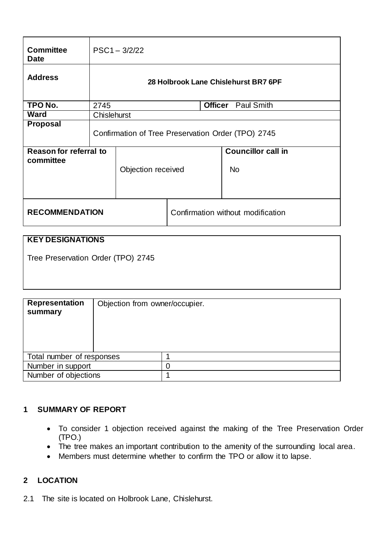| <b>Committee</b><br><b>Date</b>     | $PSC1 - 3/2/22$                                    |                    |                                     |  |                                        |
|-------------------------------------|----------------------------------------------------|--------------------|-------------------------------------|--|----------------------------------------|
| <b>Address</b>                      | 28 Holbrook Lane Chislehurst BR7 6PF               |                    |                                     |  |                                        |
| TPO No.                             | 2745                                               |                    | <b>Paul Smith</b><br><b>Officer</b> |  |                                        |
| <b>Ward</b>                         | <b>Chislehurst</b>                                 |                    |                                     |  |                                        |
| <b>Proposal</b>                     | Confirmation of Tree Preservation Order (TPO) 2745 |                    |                                     |  |                                        |
| Reason for referral to<br>committee |                                                    | Objection received |                                     |  | <b>Councillor call in</b><br><b>No</b> |
| <b>RECOMMENDATION</b>               |                                                    |                    | Confirmation without modification   |  |                                        |

# **KEY DESIGNATIONS**

Tree Preservation Order (TPO) 2745

| <b>Representation</b><br>summary | Objection from owner/occupier. |  |
|----------------------------------|--------------------------------|--|
| Total number of responses        |                                |  |
| Number in support                |                                |  |
| Number of objections             |                                |  |

## **1 SUMMARY OF REPORT**

- To consider 1 objection received against the making of the Tree Preservation Order (TPO.)
- The tree makes an important contribution to the amenity of the surrounding local area.
- Members must determine whether to confirm the TPO or allow it to lapse.

# **2 LOCATION**

2.1 The site is located on Holbrook Lane, Chislehurst.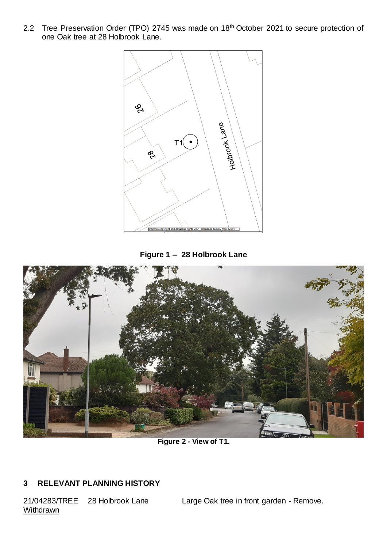2.2 Tree Preservation Order (TPO) 2745 was made on 18<sup>th</sup> October 2021 to secure protection of one Oak tree at 28 Holbrook Lane.







**Figure 2 - View of T1.** 

# **3 RELEVANT PLANNING HISTORY**

**Withdrawn** 

21/04283/TREE 28 Holbrook Lane Large Oak tree in front garden - Remove.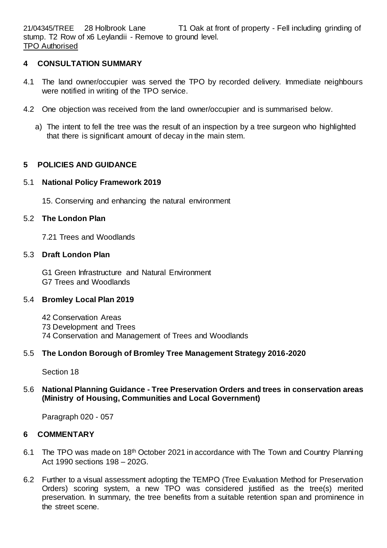21/04345/TREE 28 Holbrook Lane T1 Oak at front of property - Fell including grinding of stump. T2 Row of x6 Leylandii - Remove to ground level. TPO Authorised

## **4 CONSULTATION SUMMARY**

- 4.1 The land owner/occupier was served the TPO by recorded delivery. Immediate neighbours were notified in writing of the TPO service.
- 4.2 One objection was received from the land owner/occupier and is summarised below.
	- a) The intent to fell the tree was the result of an inspection by a tree surgeon who highlighted that there is significant amount of decay in the main stem.

## **5 POLICIES AND GUIDANCE**

#### 5.1 **National Policy Framework 2019**

15. Conserving and enhancing the natural environment

## 5.2 **The London Plan**

7.21 Trees and Woodlands

#### 5.3 **Draft London Plan**

G1 Green Infrastructure and Natural Environment G7 Trees and Woodlands

## 5.4 **Bromley Local Plan 2019**

42 Conservation Areas 73 Development and Trees 74 Conservation and Management of Trees and Woodlands

## 5.5 **The London Borough of Bromley Tree Management Strategy 2016-2020**

Section 18

## 5.6 **National Planning Guidance - Tree Preservation Orders and trees in conservation areas (Ministry of Housing, Communities and Local Government)**

Paragraph 020 - 057

## **6 COMMENTARY**

- 6.1 The TPO was made on 18<sup>th</sup> October 2021 in accordance with The Town and Country Planning Act 1990 sections 198 – 202G.
- 6.2 Further to a visual assessment adopting the TEMPO (Tree Evaluation Method for Preservation Orders) scoring system, a new TPO was considered justified as the tree(s) merited preservation. In summary, the tree benefits from a suitable retention span and prominence in the street scene.